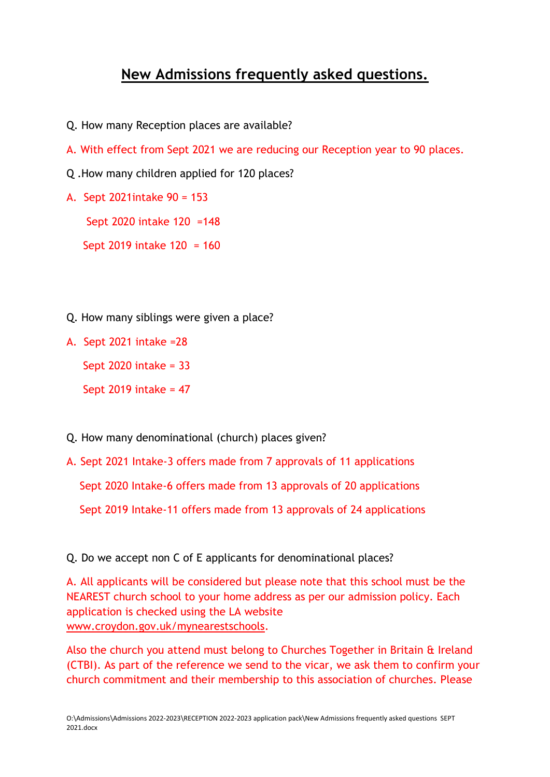## **New Admissions frequently asked questions.**

- Q. How many Reception places are available?
- A. With effect from Sept 2021 we are reducing our Reception year to 90 places.
- Q .How many children applied for 120 places?
- A. Sept 2021intake 90 = 153

Sept 2020 intake 120 =148

Sept 2019 intake 120 = 160

Q. How many siblings were given a place?

A. Sept 2021 intake =28

Sept 2020 intake = 33

Sept 2019 intake = 47

- Q. How many denominational (church) places given?
- A. Sept 2021 Intake-3 offers made from 7 approvals of 11 applications

Sept 2020 Intake-6 offers made from 13 approvals of 20 applications

Sept 2019 Intake-11 offers made from 13 approvals of 24 applications

Q. Do we accept non C of E applicants for denominational places?

A. All applicants will be considered but please note that this school must be the NEAREST church school to your home address as per our admission policy. Each application is checked using the LA website [www.croydon.gov.uk/mynearestschools.](http://www.croydon.gov.uk/mynearestschools)

Also the church you attend must belong to Churches Together in Britain & Ireland (CTBI). As part of the reference we send to the vicar, we ask them to confirm your church commitment and their membership to this association of churches. Please